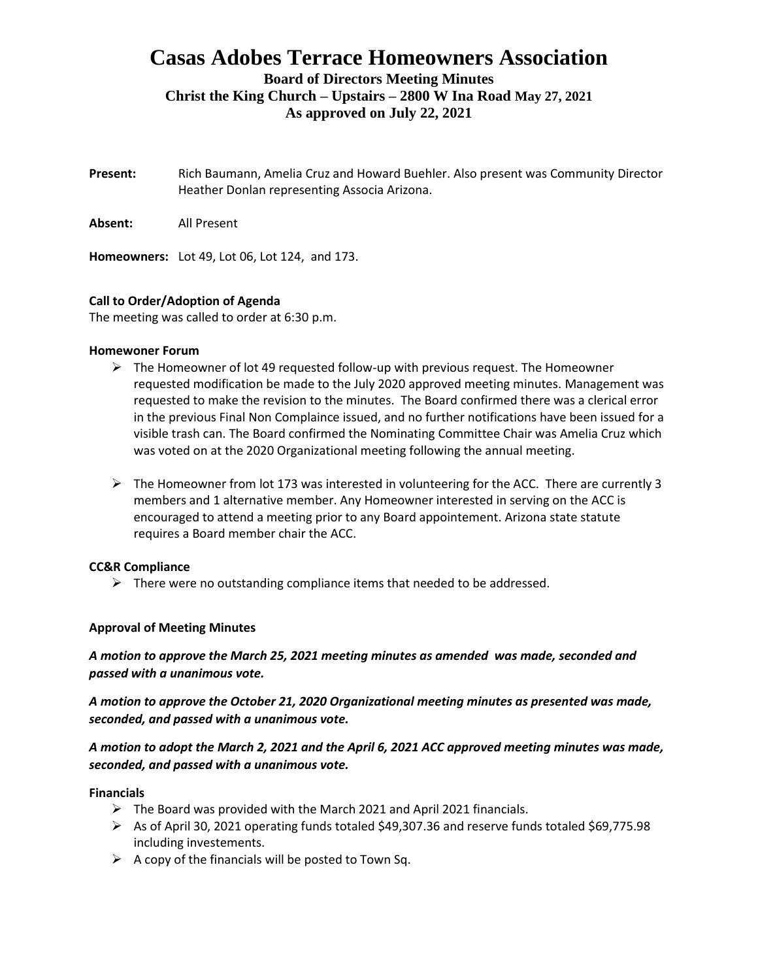# **Casas Adobes Terrace Homeowners Association**

**Board of Directors Meeting Minutes Christ the King Church – Upstairs – 2800 W Ina Road May 27, 2021**

**As approved on July 22, 2021**

- **Present:** Rich Baumann, Amelia Cruz and Howard Buehler. Also present was Community Director Heather Donlan representing Associa Arizona.
- **Absent:** All Present

**Homeowners:** Lot 49, Lot 06, Lot 124, and 173.

## **Call to Order/Adoption of Agenda**

The meeting was called to order at 6:30 p.m.

#### **Homewoner Forum**

- $\triangleright$  The Homeowner of lot 49 requested follow-up with previous request. The Homeowner requested modification be made to the July 2020 approved meeting minutes. Management was requested to make the revision to the minutes. The Board confirmed there was a clerical error in the previous Final Non Complaince issued, and no further notifications have been issued for a visible trash can. The Board confirmed the Nominating Committee Chair was Amelia Cruz which was voted on at the 2020 Organizational meeting following the annual meeting.
- $\triangleright$  The Homeowner from lot 173 was interested in volunteering for the ACC. There are currently 3 members and 1 alternative member. Any Homeowner interested in serving on the ACC is encouraged to attend a meeting prior to any Board appointement. Arizona state statute requires a Board member chair the ACC.

## **CC&R Compliance**

 $\triangleright$  There were no outstanding compliance items that needed to be addressed.

## **Approval of Meeting Minutes**

*A motion to approve the March 25, 2021 meeting minutes as amended was made, seconded and passed with a unanimous vote.*

*A motion to approve the October 21, 2020 Organizational meeting minutes as presented was made, seconded, and passed with a unanimous vote.*

*A motion to adopt the March 2, 2021 and the April 6, 2021 ACC approved meeting minutes was made, seconded, and passed with a unanimous vote.*

#### **Financials**

- ➢ The Board was provided with the March 2021 and April 2021 financials.
- ➢ As of April 30, 2021 operating funds totaled \$49,307.36 and reserve funds totaled \$69,775.98 including investements.
- $\triangleright$  A copy of the financials will be posted to Town Sq.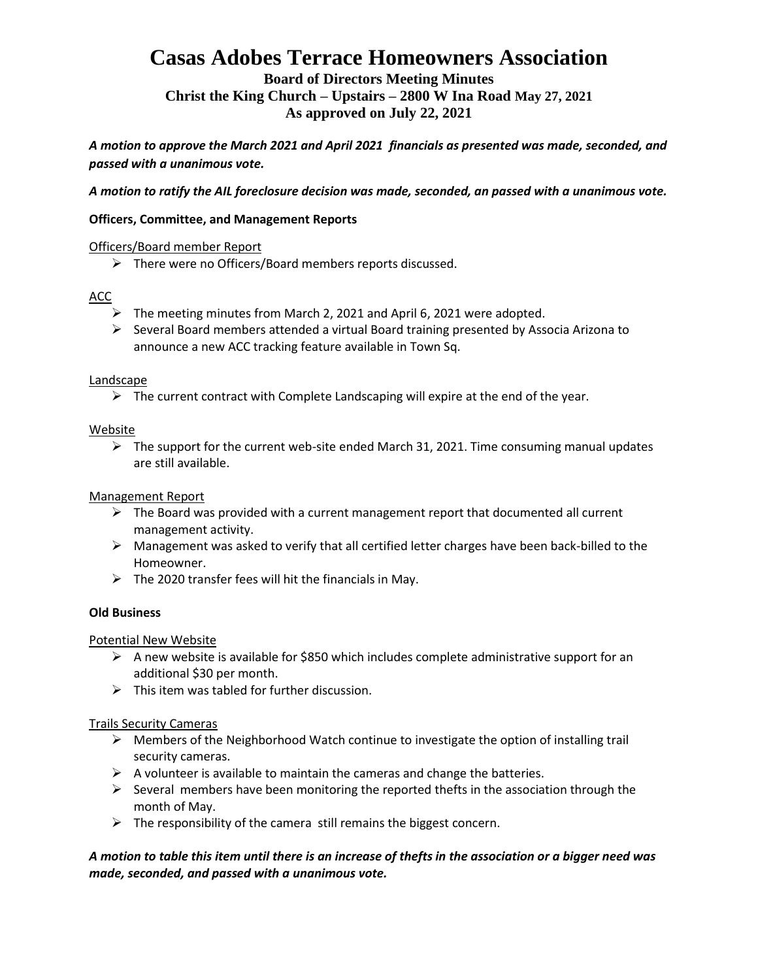# **Casas Adobes Terrace Homeowners Association**

**Board of Directors Meeting Minutes Christ the King Church – Upstairs – 2800 W Ina Road May 27, 2021 As approved on July 22, 2021**

*A motion to approve the March 2021 and April 2021 financials as presented was made, seconded, and passed with a unanimous vote.* 

*A motion to ratify the AIL foreclosure decision was made, seconded, an passed with a unanimous vote.*

### **Officers, Committee, and Management Reports**

#### Officers/Board member Report

➢ There were no Officers/Board members reports discussed.

### ACC

- ➢ The meeting minutes from March 2, 2021 and April 6, 2021 were adopted.
- $\triangleright$  Several Board members attended a virtual Board training presented by Associa Arizona to announce a new ACC tracking feature available in Town Sq.

#### **Landscape**

 $\triangleright$  The current contract with Complete Landscaping will expire at the end of the year.

#### Website

 $\triangleright$  The support for the current web-site ended March 31, 2021. Time consuming manual updates are still available.

### Management Report

- $\triangleright$  The Board was provided with a current management report that documented all current management activity.
- $\triangleright$  Management was asked to verify that all certified letter charges have been back-billed to the Homeowner.
- $\triangleright$  The 2020 transfer fees will hit the financials in May.

#### **Old Business**

#### Potential New Website

- $\triangleright$  A new website is available for \$850 which includes complete administrative support for an additional \$30 per month.
- $\triangleright$  This item was tabled for further discussion.

#### Trails Security Cameras

- ➢ Members of the Neighborhood Watch continue to investigate the option of installing trail security cameras.
- $\triangleright$  A volunteer is available to maintain the cameras and change the batteries.
- $\triangleright$  Several members have been monitoring the reported thefts in the association through the month of May.
- $\triangleright$  The responsibility of the camera still remains the biggest concern.

## *A motion to table this item until there is an increase of thefts in the association or a bigger need was made, seconded, and passed with a unanimous vote.*